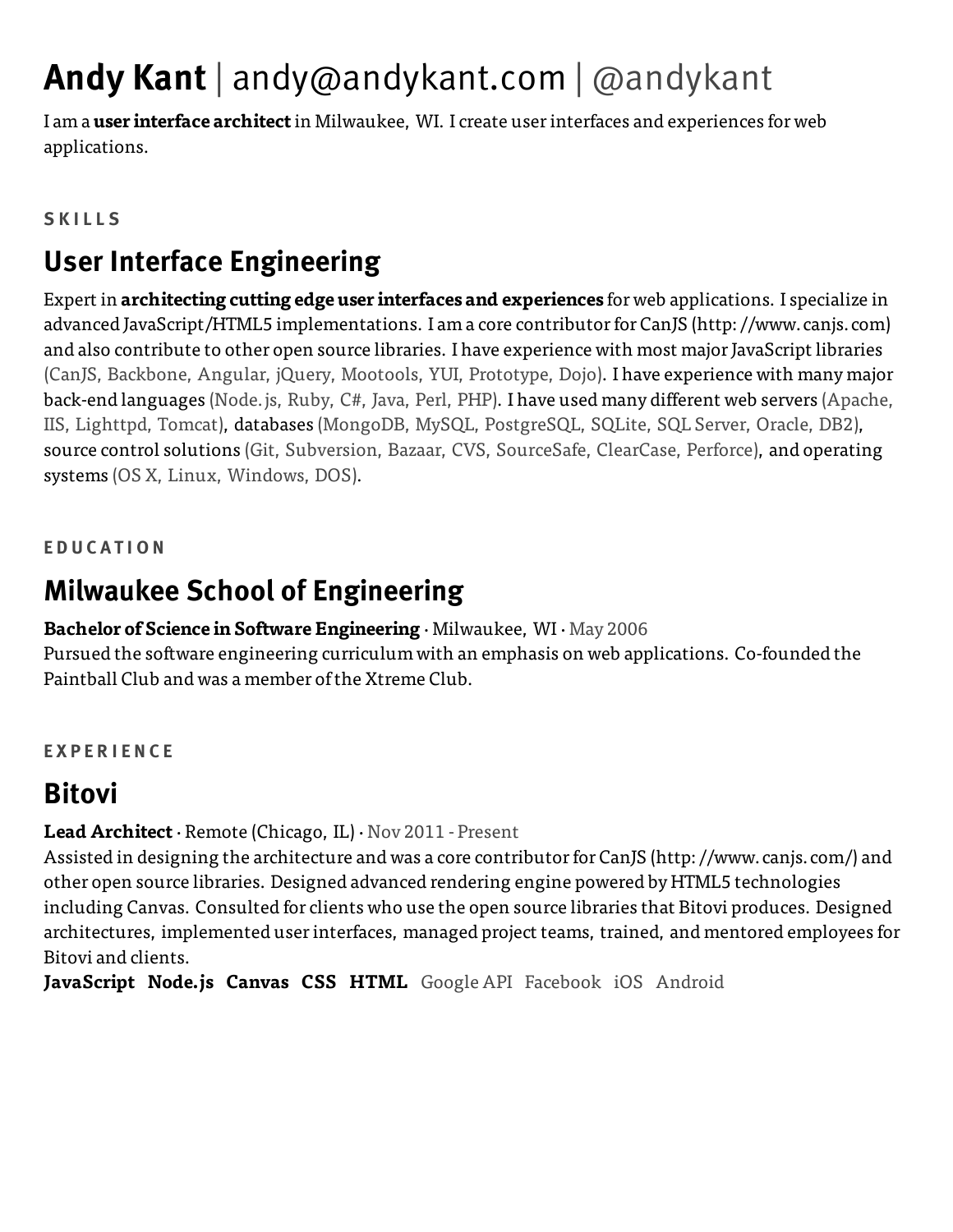# **Andy Kant** | [andy@andykant.com](mailto:andy@andykant.com) | @andykant

I am a **user interface architect** in Milwaukee, WI. I create user interfaces and experiences for web applications.

#### **S K I L L S**

### **User Interface Engineering**

Expert in **architecting cutting edge user interfaces and experiences** for web applications. I specialize in advanced JavaScript/HTML5 implementations. I am a core contributor for CanJS [\(http://www.canjs.com\)](http://www.canjs.com/) and also [contribute](https://github.com/andykant) to other open source libraries. I have experience with most major JavaScript libraries (CanJS, Backbone, Angular, jQuery, Mootools, YUI, Prototype, Dojo). I have experience with many major back-end languages (Node.js, Ruby, C#, Java, Perl, PHP). I have used many different web servers (Apache, IIS, Lighttpd, Tomcat), databases (MongoDB, MySQL, PostgreSQL, SQLite, SQL Server, Oracle, DB2), source control solutions (Git, Subversion, Bazaar, CVS, SourceSafe, ClearCase, Perforce), and operating systems (OS X, Linux, Windows, DOS).

#### **E D U C A T I O N**

### **Milwaukee School of Engineering**

#### **Bachelor of Science in Software Engineering** · Milwaukee, WI · May 2006

Pursued the software engineering curriculum with an emphasis on web applications. Co-founded the Paintball Club and was a member ofthe Xtreme Club.

#### **E X P E R I E N C E**

### **Bitovi**

#### **Lead Architect** · Remote (Chicago, IL) · Nov 2011 - Present

Assisted in designing the architecture and was a core contributor for CanJS [\(http://www.canjs.com/\)](http://www.canjs.com/) and other open source libraries. Designed advanced rendering engine powered by HTML5 technologies including Canvas. Consulted for clients who use the open source libraries that Bitovi produces. Designed architectures, implemented user interfaces, managed project teams, trained, and mentored employees for Bitovi and clients.

**JavaScript Node.js Canvas CSS HTML** Google API Facebook iOS Android